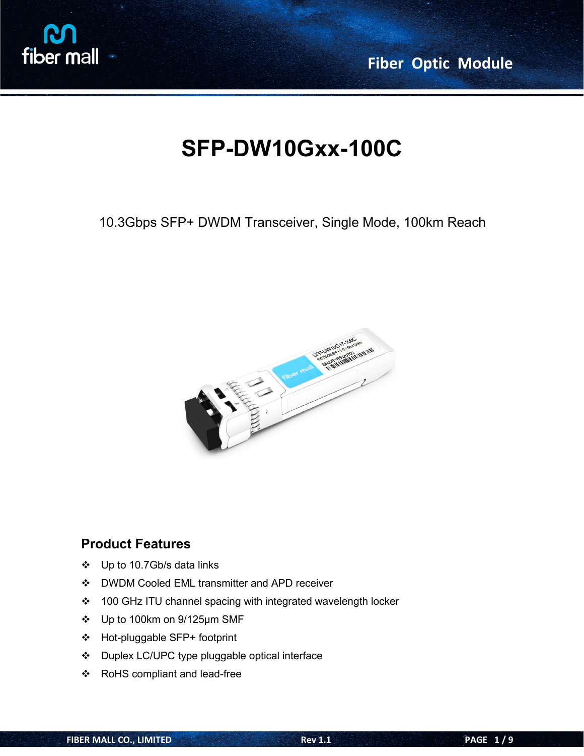

**Fiber Optic Module**

# **SFP-DW10Gxx-100C**

10.3Gbps SFP+ DWDM Transceiver, Single Mode, 100km Reach



### **Product Features**

- Up to 10.7Gb/s data links
- DWDM Cooled EML transmitter and APD receiver
- ❖ 100 GHz ITU channel spacing with integrated wavelength locker
- Up to 100km on 9/125µm SMF
- Hot-pluggable SFP+ footprint
- Duplex LC/UPC type pluggable optical interface
- RoHS compliant and lead-free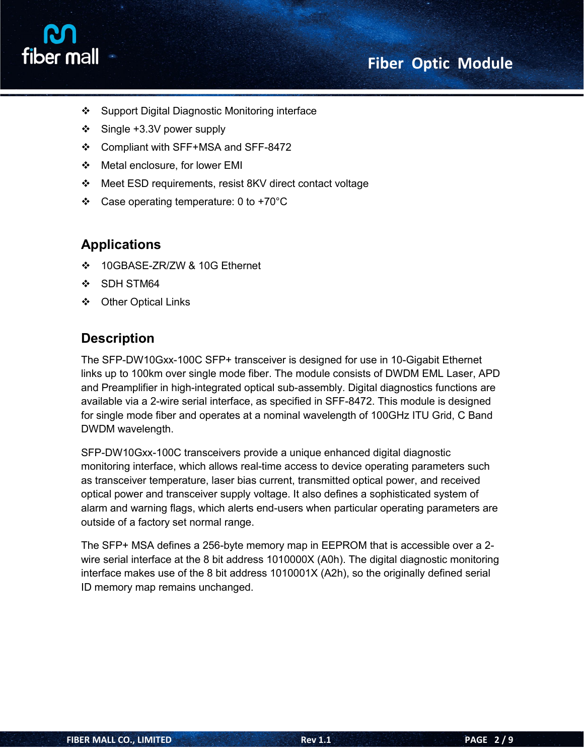# **Fiber Optic Module**



- ❖ Support Digital Diagnostic Monitoring interface
- $\div$  Single +3.3V power supply
- Compliant with SFF+MSA and SFF-8472
- Metal enclosure, for lower EMI
- Meet ESD requirements, resist 8KV direct contact voltage
- $\div$  Case operating temperature: 0 to +70°C

### **Applications**

- 10GBASE-ZR/ZW & 10G Ethernet
- ❖ SDH STM64
- Other Optical Links

### **Description**

The SFP-DW10Gxx-100C SFP+ transceiver is designed for use in 10-Gigabit Ethernet links up to 100km over single mode fiber. The module consists of DWDM EML Laser, APD and Preamplifier in high-integrated optical sub-assembly. Digital diagnostics functions are available via a 2-wire serial interface, as specified in SFF-8472. This module is designed for single mode fiber and operates at a nominal wavelength of 100GHz ITU Grid, C Band DWDM wavelength.

SFP-DW10Gxx-100C transceivers provide a unique enhanced digital diagnostic monitoring interface, which allows real-time access to device operating parameters such as transceiver temperature, laser bias current, transmitted optical power, and received optical power and transceiver supply voltage. It also defines a sophisticated system of alarm and warning flags, which alerts end-users when particular operating parameters are outside of a factory set normal range.

The SFP+ MSA defines <sup>a</sup> 256-byte memory map in EEPROM that is accessible over <sup>a</sup> 2-wire serial interface at the <sup>8</sup> bit address 1010000X (A0h). The digital diagnostic monitoring interface makes use of the 8 bit address 1010001X (A2h), so the originally defined serial ID memory map remains unchanged.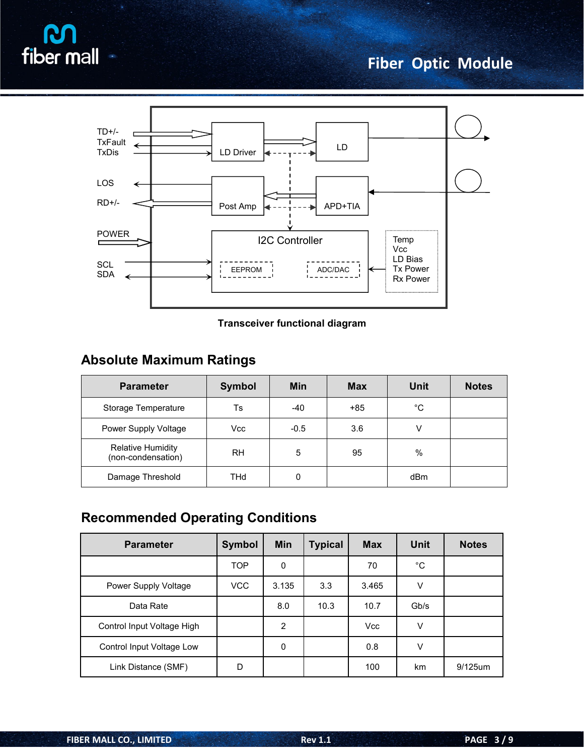



#### **Transceiver functional diagram**

# **Absolute Maximum Ratings**

| <b>Parameter</b>                               | <b>Symbol</b> | <b>Min</b> | <b>Max</b> | <b>Unit</b> | <b>Notes</b> |
|------------------------------------------------|---------------|------------|------------|-------------|--------------|
| Storage Temperature                            | Ts            | -40        | $+85$      | °C          |              |
| Power Supply Voltage                           | Vcc           | $-0.5$     | 3.6        |             |              |
| <b>Relative Humidity</b><br>(non-condensation) | <b>RH</b>     | 5          | 95         | $\%$        |              |
| Damage Threshold                               | THd           | 0          |            | dBm         |              |

# **Recommended Operating Conditions**

| <b>Parameter</b>           | Symbol | Min         | <b>Typical</b> | <b>Max</b> | <b>Unit</b>  | <b>Notes</b> |
|----------------------------|--------|-------------|----------------|------------|--------------|--------------|
|                            | TOP    | $\mathbf 0$ |                | 70         | $^{\circ}$ C |              |
| Power Supply Voltage       | VCC    | 3.135       | 3.3            | 3.465      | $\vee$       |              |
| Data Rate                  |        | 8.0         | 10.3           | 10.7       | Gb/s         |              |
| Control Input Voltage High |        | 2           |                | Vcc        | $\vee$       |              |
| Control Input Voltage Low  |        | 0           |                | 0.8        | $\vee$       |              |
| Link Distance (SMF)        | D      |             |                | 100        | km           | 9/125um      |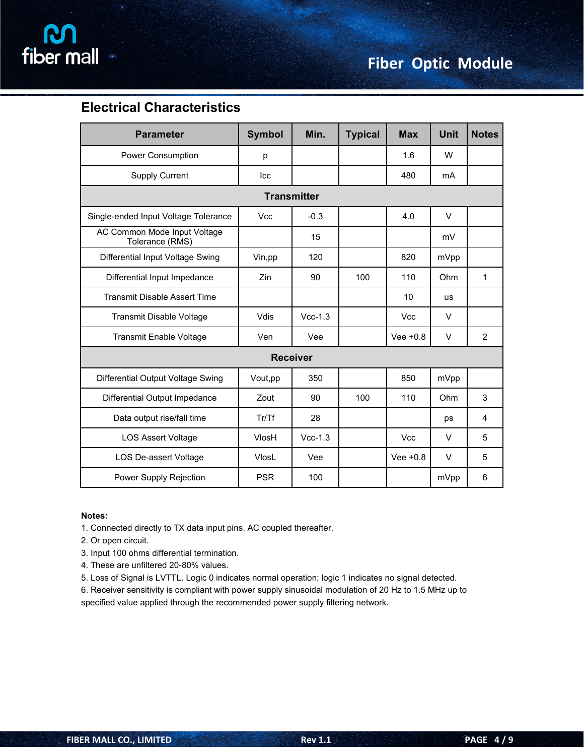

### **Electrical Characteristics**

| <b>Parameter</b>                                | <b>Symbol</b> | Min.            | <b>Typical</b> | <b>Max</b> | <b>Unit</b> | <b>Notes</b>   |  |  |  |
|-------------------------------------------------|---------------|-----------------|----------------|------------|-------------|----------------|--|--|--|
| Power Consumption                               | р             |                 |                | 1.6        | W           |                |  |  |  |
| Supply Current                                  | Icc           |                 |                | 480        | mA          |                |  |  |  |
| <b>Transmitter</b>                              |               |                 |                |            |             |                |  |  |  |
| Single-ended Input Voltage Tolerance            | Vcc           | $-0.3$          |                | 4.0        | $\vee$      |                |  |  |  |
| AC Common Mode Input Voltage<br>Tolerance (RMS) |               | 15              |                |            | mV          |                |  |  |  |
| Differential Input Voltage Swing                | Vin,pp        | 120             |                | 820        | mVpp        |                |  |  |  |
| Differential Input Impedance                    | Zin           | 90              | 100            | 110        | Ohm         | 1              |  |  |  |
| <b>Transmit Disable Assert Time</b>             |               |                 |                | 10         | <b>us</b>   |                |  |  |  |
| Transmit Disable Voltage                        | Vdis          | $Vcc-1.3$       |                | <b>Vcc</b> | $\vee$      |                |  |  |  |
| <b>Transmit Enable Voltage</b>                  | Ven           | Vee             |                | Vee $+0.8$ | $\vee$      | $\overline{2}$ |  |  |  |
|                                                 |               | <b>Receiver</b> |                |            |             |                |  |  |  |
| Differential Output Voltage Swing               | Vout,pp       | 350             |                | 850        | mVpp        |                |  |  |  |
| Differential Output Impedance                   | Zout          | 90              | 100            | 110        | Ohm         | 3              |  |  |  |
| Data output rise/fall time                      | Tr/Tf         | 28              |                |            | ps          | $\overline{4}$ |  |  |  |
| <b>LOS Assert Voltage</b>                       | VlosH         | $Vcc-1.3$       |                | <b>Vcc</b> | $\vee$      | 5              |  |  |  |
| LOS De-assert Voltage                           | <b>VlosL</b>  | Vee             |                | Vee $+0.8$ | $\vee$      | 5              |  |  |  |
| Power Supply Rejection                          | <b>PSR</b>    | 100             |                |            | mVpp        | 6              |  |  |  |

#### **Notes:**

1. Connected directly to TX data input pins. AC coupled thereafter.

2. Or open circuit.

- 3. Input 100 ohms differential termination.
- 4. These are unfiltered 20-80% values.
- 5. Loss of Signal is LVTTL. Logic 0 indicates normal operation; logic 1 indicates no signal detected.

6. Receiver sensitivity is compliant with power supply sinusoidal modulation of 20 Hz to 1.5 MHz up to specified value applied through the recommended power supply filtering network.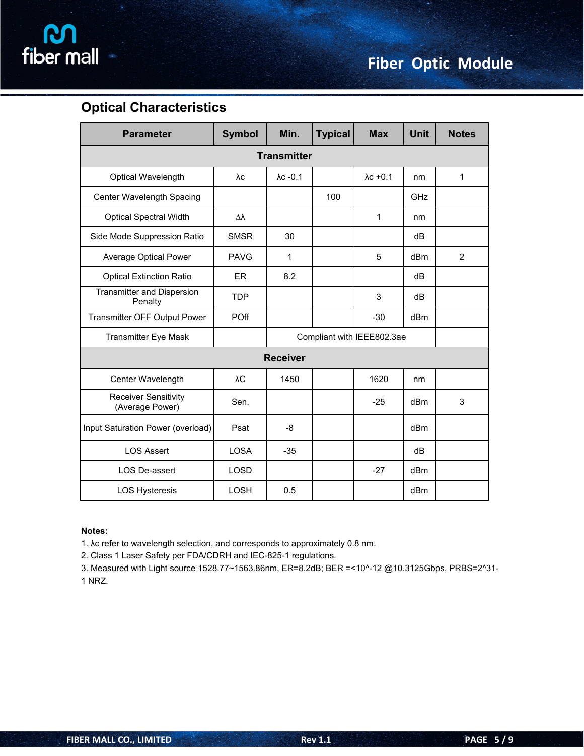

### **Optical Characteristics**

| <b>Parameter</b>                               | <b>Symbol</b> | Min.               | <b>Typical</b> | <b>Max</b>                 | <b>Unit</b>     | <b>Notes</b>   |
|------------------------------------------------|---------------|--------------------|----------------|----------------------------|-----------------|----------------|
|                                                |               | <b>Transmitter</b> |                |                            |                 |                |
| Optical Wavelength                             | λc            | $\lambda$ c -0.1   |                | $\lambda$ c +0.1           | nm              | $\mathbf{1}$   |
| Center Wavelength Spacing                      |               |                    | 100            |                            | GHz             |                |
| <b>Optical Spectral Width</b>                  | Δλ            |                    |                | 1                          | nm              |                |
| Side Mode Suppression Ratio                    | <b>SMSR</b>   | 30                 |                |                            | dB              |                |
| Average Optical Power                          | <b>PAVG</b>   | $\mathbf{1}$       |                | 5                          | dBm             | $\overline{2}$ |
| <b>Optical Extinction Ratio</b>                | <b>ER</b>     | 8.2                |                |                            | dB              |                |
| <b>Transmitter and Dispersion</b><br>Penalty   | <b>TDP</b>    |                    |                | 3                          | dB              |                |
| Transmitter OFF Output Power                   | POff          |                    |                | $-30$                      | dBm             |                |
| <b>Transmitter Eye Mask</b>                    |               |                    |                | Compliant with IEEE802.3ae |                 |                |
|                                                |               | <b>Receiver</b>    |                |                            |                 |                |
| Center Wavelength                              | λC            | 1450               |                | 1620                       | nm              |                |
| <b>Receiver Sensitivity</b><br>(Average Power) | Sen.          |                    |                | $-25$                      | dBm             | 3              |
| Input Saturation Power (overload)              | Psat          | -8                 |                |                            | dBm             |                |
| <b>LOS Assert</b>                              | <b>LOSA</b>   | $-35$              |                |                            | dB              |                |
| LOS De-assert                                  | <b>LOSD</b>   |                    |                | $-27$                      | dBm             |                |
| <b>LOS Hysteresis</b>                          | LOSH          | 0.5                |                |                            | dB <sub>m</sub> |                |

#### **Notes:**

1. λc refer to wavelength selection, and corresponds to approximately 0.8 nm.

2. Class 1 Laser Safety per FDA/CDRH and IEC-825-1 regulations.

3. Measured with Light source 1528.77~1563.86nm, ER=8.2dB; BER =<10^-12 @10.3125Gbps, PRBS=2^31- 1 NRZ.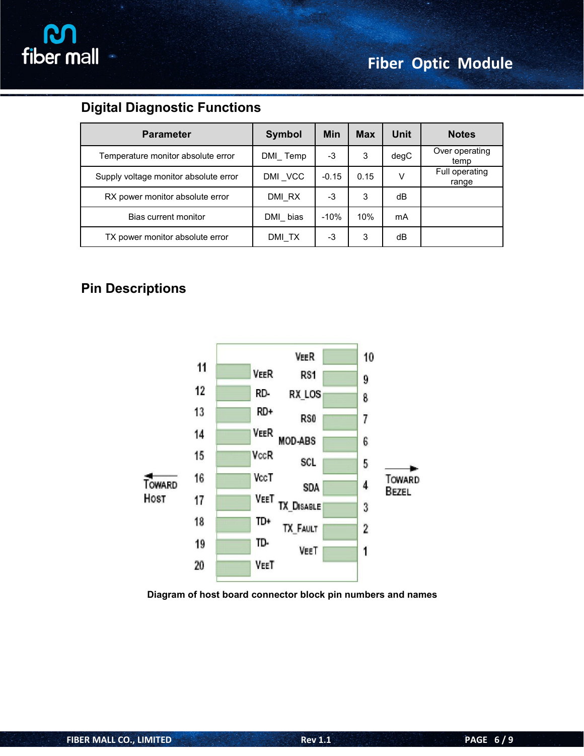

# **Digital Diagnostic Functions**

| <b>Parameter</b>                      | <b>Symbol</b> | <b>Min</b> | <b>Max</b> | Unit | <b>Notes</b>            |
|---------------------------------------|---------------|------------|------------|------|-------------------------|
| Temperature monitor absolute error    | DMI Temp      | $-3$       | 3          | degC | Over operating<br>temp  |
| Supply voltage monitor absolute error | DMI_VCC       | $-0.15$    | 0.15       | V    | Full operating<br>range |
| RX power monitor absolute error       | DMI RX        | $-3$       | 3          | dB   |                         |
| Bias current monitor                  | DMI bias      | $-10%$     | 10%        | mA   |                         |
| TX power monitor absolute error       | DMI TX        | $-3$       | 3          | dB   |                         |

### **Pin Descriptions**



**Diagram of host board connector block pin numbers and names**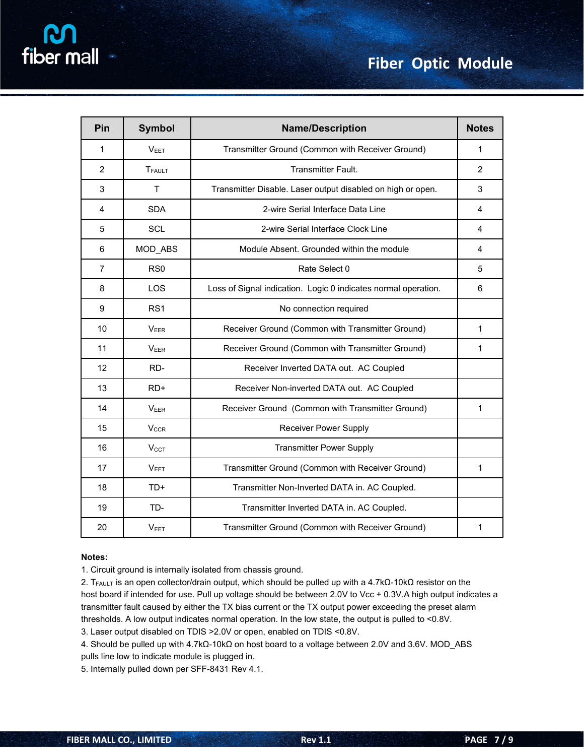| Pin            | <b>Symbol</b>    | <b>Name/Description</b>                                        | <b>Notes</b> |
|----------------|------------------|----------------------------------------------------------------|--------------|
| $\mathbf{1}$   | V <sub>EET</sub> | Transmitter Ground (Common with Receiver Ground)               | 1            |
| 2              | TFAULT           | Transmitter Fault.                                             | 2            |
| 3              | $\mathsf{T}$     | Transmitter Disable. Laser output disabled on high or open.    | 3            |
| 4              | <b>SDA</b>       | 2-wire Serial Interface Data Line                              | 4            |
| 5              | SCL              | 2-wire Serial Interface Clock Line                             | 4            |
| 6              | MOD_ABS          | Module Absent. Grounded within the module                      | 4            |
| $\overline{7}$ | RS <sub>0</sub>  | Rate Select 0                                                  | 5            |
| 8              | LOS              | Loss of Signal indication. Logic 0 indicates normal operation. | 6            |
| 9              | RS <sub>1</sub>  | No connection required                                         |              |
| 10             | <b>VEER</b>      | Receiver Ground (Common with Transmitter Ground)               | 1            |
| 11             | <b>VEER</b>      | Receiver Ground (Common with Transmitter Ground)               | 1            |
| 12             | RD-              | Receiver Inverted DATA out. AC Coupled                         |              |
| 13             | RD+              | Receiver Non-inverted DATA out. AC Coupled                     |              |
| 14             | <b>VEER</b>      | Receiver Ground (Common with Transmitter Ground)               | $\mathbf{1}$ |
| 15             | $V_{CCR}$        | <b>Receiver Power Supply</b>                                   |              |
| 16             | V <sub>CCT</sub> | <b>Transmitter Power Supply</b>                                |              |
| 17             | V <sub>EET</sub> | Transmitter Ground (Common with Receiver Ground)               | 1            |
| 18             | TD+              | Transmitter Non-Inverted DATA in. AC Coupled.                  |              |
| 19             | TD-              | Transmitter Inverted DATA in. AC Coupled.                      |              |
| 20             | V <sub>EET</sub> | Transmitter Ground (Common with Receiver Ground)               | $\mathbf{1}$ |

#### **Notes:**

1. Circuit ground is internally isolated from chassis ground.

2. T<sub>FAULT</sub> is an open collector/drain output, which should be pulled up with a 4.7kΩ-10kΩ resistor on the host board if intended for use. Pull up voltage should be between 2.0V to Vcc + 0.3V.A high output indicates a transmitter fault caused by either the TX bias current or the TX output power exceeding the preset alarm thresholds. A low output indicates normal operation. In the low state, the output is pulled to <0.8V.

3. Laser output disabled on TDIS >2.0V or open, enabled on TDIS <0.8V.

4. Should be pulled up with 4.7kΩ-10kΩ on host board to a voltage between 2.0V and 3.6V. MOD\_ABS pulls line low to indicate module is plugged in.

5. Internally pulled down per SFF-8431 Rev 4.1.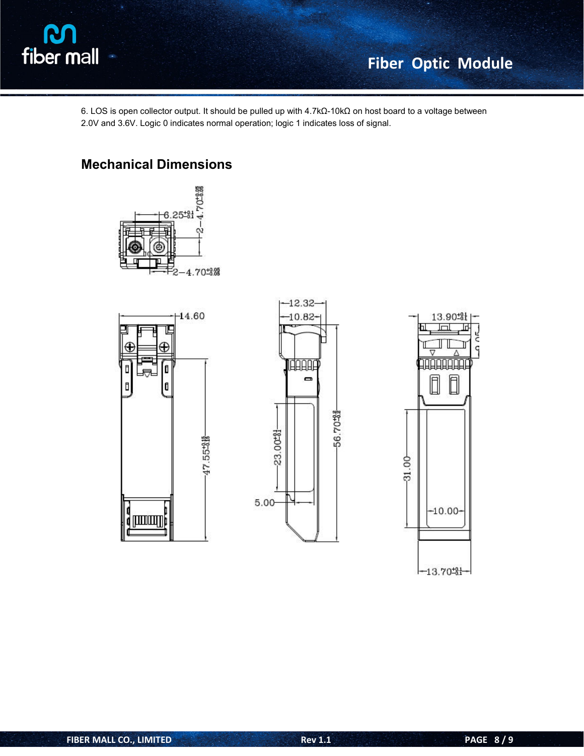

6. LOS is open collector output. It should be pulled up with 4.7kΩ-10kΩ on host board to a voltage between

2.0V and 3.6V. Logic 0 indicates normal operation; logic 1 indicates loss of signal.

### **Mechanical Dimensions**